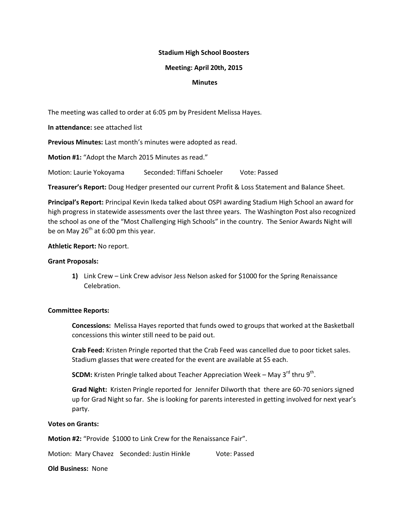## **Stadium High School Boosters**

## **Meeting: April 20th, 2015**

## **Minutes**

The meeting was called to order at 6:05 pm by President Melissa Hayes.

**In attendance:** see attached list

**Previous Minutes:** Last month's minutes were adopted as read.

**Motion #1:** "Adopt the March 2015 Minutes as read."

Motion: Laurie Yokoyama Seconded: Tiffani Schoeler Vote: Passed

**Treasurer's Report:** Doug Hedger presented our current Profit & Loss Statement and Balance Sheet.

**Principal's Report:** Principal Kevin Ikeda talked about OSPI awarding Stadium High School an award for high progress in statewide assessments over the last three years. The Washington Post also recognized the school as one of the "Most Challenging High Schools" in the country. The Senior Awards Night will be on May  $26<sup>th</sup>$  at 6:00 pm this year.

# **Athletic Report:** No report.

## **Grant Proposals:**

**1)** Link Crew – Link Crew advisor Jess Nelson asked for \$1000 for the Spring Renaissance Celebration.

# **Committee Reports:**

**Concessions:** Melissa Hayes reported that funds owed to groups that worked at the Basketball concessions this winter still need to be paid out.

**Crab Feed:** Kristen Pringle reported that the Crab Feed was cancelled due to poor ticket sales. Stadium glasses that were created for the event are available at \$5 each.

**SCDM:** Kristen Pringle talked about Teacher Appreciation Week – May 3<sup>rd</sup> thru 9<sup>th</sup>.

**Grad Night:** Kristen Pringle reported for Jennifer Dilworth that there are 60-70 seniors signed up for Grad Night so far. She is looking for parents interested in getting involved for next year's party.

# **Votes on Grants:**

**Motion #2:** "Provide \$1000 to Link Crew for the Renaissance Fair".

Motion: Mary Chavez Seconded: Justin Hinkle Vote: Passed

**Old Business:** None